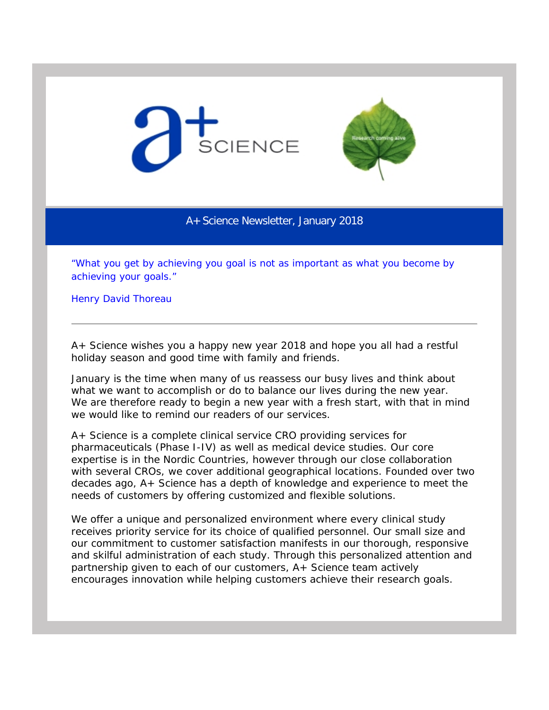



A+ Science Newsletter, January 2018

*"What you get by achieving you goal is not as important as what you become by achieving your goals."*

Henry David Thoreau

A+ Science wishes you a happy new year 2018 and hope you all had a restful holiday season and good time with family and friends.

January is the time when many of us reassess our busy lives and think about what we want to accomplish or do to balance our lives during the new year. We are therefore ready to begin a new year with a fresh start, with that in mind we would like to remind our readers of our services.

A+ Science is a complete clinical service CRO providing services for pharmaceuticals (Phase I-IV) as well as medical device studies. Our core expertise is in the Nordic Countries, however through our close collaboration with several CROs, we cover additional geographical locations. Founded over two decades ago, A+ Science has a depth of knowledge and experience to meet the needs of customers by offering customized and flexible solutions.

We offer a unique and personalized environment where every clinical study receives priority service for its choice of qualified personnel. Our small size and our commitment to customer satisfaction manifests in our thorough, responsive and skilful administration of each study. Through this personalized attention and partnership given to each of our customers, A+ Science team actively encourages innovation while helping customers achieve their research goals*.*